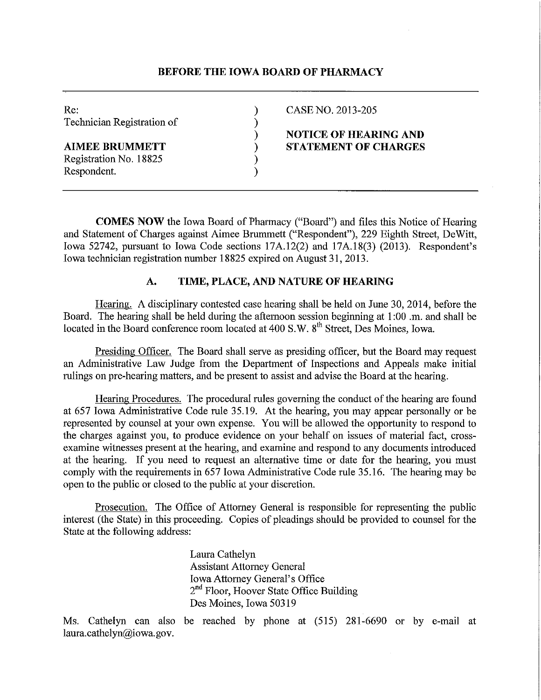# **BEFORE THE IOWA BOARD OF PHARMACY**

| Re:<br>Technician Registration of | CASE NO. 2013-205            |
|-----------------------------------|------------------------------|
|                                   | <b>NOTICE OF HEARING AND</b> |
| <b>AIMEE BRUMMETT</b>             | <b>STATEMENT OF CHARGES</b>  |
| Registration No. 18825            |                              |
| Respondent.                       |                              |

**COMES NOW** the Iowa Board of Phatmacy ("Board") and files this Notice of Hearing and Statement of Charges against Aimee Brummett ("Respondent"), 229 Eighth Street, DeWitt, Iowa 52742, pursuant to Iowa Code sections 17A.12(2) and 17A.18(3) (2013). Respondent's Iowa technician registration number 18825 expired on August 31, 2013.

# **A. TIME, PLACE, AND NATURE OF HEARING**

Hearing. A disciplinary contested case hearing shall be held on June 30, 2014, before the Board. The hearing shall be held during the afternoon session beginning at 1 :00 .m. and shall be located in the Board conference room located at 400 S.W. 8<sup>th</sup> Street, Des Moines, Iowa.

Presiding Officer. The Board shall serve as presiding officer, but the Board may request an Administrative Law Judge from the Department of Inspections and Appeals make initial rulings on pre-hearing matters, and be present to assist and advise the Board at the hearing.

Hearing Procedures. The procedural rules governing the conduct of the hearing are found at 657 Iowa Administrative Code rule 35.19. At the hearing, you may appear personally or be represented by counsel at your own expense. You will be allowed the opportunity to respond to the charges against you, to produce evidence on your behalf on issues of material fact, crossexamine witnesses present at the hearing, and examine and respond to any documents introduced at the hearing. If you need to request an alternative time or date for the hearing, you must comply with the requirements in 657 Iowa Administrative Code rule 35.16. The hearing may be open to the public or closed to the public at your discretion.

Prosecution. The Office of Attorney General is responsible for representing the public interest (the State) in this proceeding. Copies of pleadings should be provided to counsel for the State at the following address:

> Laura Cathelyn Assistant Attorney General Iowa Attorney General's Office 2<sup>nd</sup> Floor, Hoover State Office Building Des Moines, Iowa 50319

Ms. Cathelyn can also be reached by phone at (515) 281-6690 or by e-mail at laura.cathelyn@iowa.gov.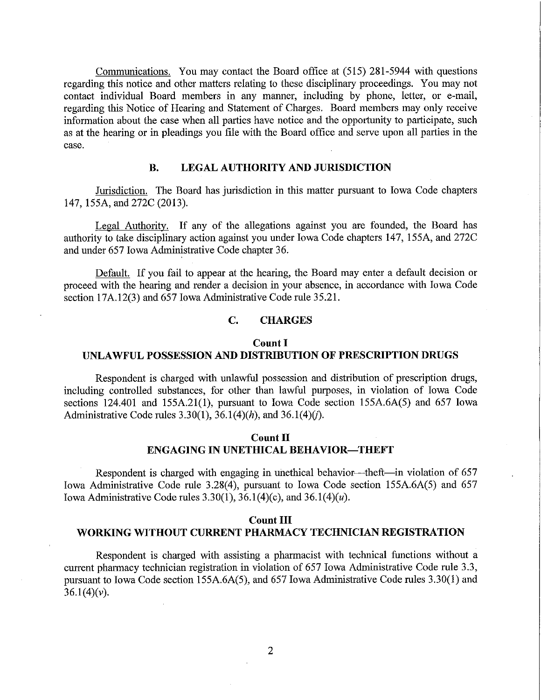Communications. You may contact the Board office at (515) 281-5944 with questions regarding this notice and other matters relating to these disciplinary proceedings. You may not contact individual Board members in any manner, including by phone, letter, or e-mail, regarding this Notice of Hearing and Statement of Charges. Board members may only receive information about the case when all parties have notice and the opportunity to participate, such as at the hearing or in pleadings you file with the Board office and serve upon all parties in the case.

### **B. LEGAL AUTHORITY AND JURISDICTION**

Jurisdiction. The Board has jurisdiction in this matter pursuant to Iowa Code chapters 147, 155A, and 272C (2013).

Legal Authority. If any of the allegations against you are founded, the Board has authority to take disciplinary action against you under Iowa Code chapters 147, 155A, and 272C and under 657 Iowa Administrative Code chapter 36.

Default. If you fail to appear at the hearing, the Board may enter a default decision or proceed with the hearing and render a decision in your absence, in accordance with Iowa Code section 17A.12(3) and 657 Iowa Administrative Code rule 35.21.

### **C. CHARGES**

# **Count I UNLAWFUL POSSESSION AND DISTRIBUTION OF PRESCRIPTION DRUGS**

Respondent is charged with unlawful possession and distribution of prescription drugs, including controlled substances, for other than lawful purposes, in violation of Iowa Code sections 124.401 and 155A.21(1), pursuant to Iowa Code section 155A.6A(5) and 657 Iowa Administrative Code rules  $3.30(1)$ ,  $36.1(4)(h)$ , and  $36.1(4)(i)$ .

## **Count II ENGAGING IN UNETHICAL BEHAVIOR-THEFT**

Respondent is charged with engaging in unethical behavior—theft—in violation of 657 Iowa Administrative Code rule 3.28(4), pursuant to Iowa Code section 155A.6A(5) and 657 Iowa Administrative Code rules  $3.30(1)$ ,  $36.1(4)(c)$ , and  $36.1(4)(u)$ .

## **Count III WORKING WITHOUT CURRENT PHARMACY TECHNICIAN REGISTRATION**

Respondent is charged with assisting a pharmacist with technical functions without a current pharmacy technician registration in violation of 657 Iowa Administrative Code rule 3.3, pursuant to Iowa Code section 155A.6A(5), and 657 Iowa Administrative Code rules 3.30(1) and  $36.1(4)(v)$ .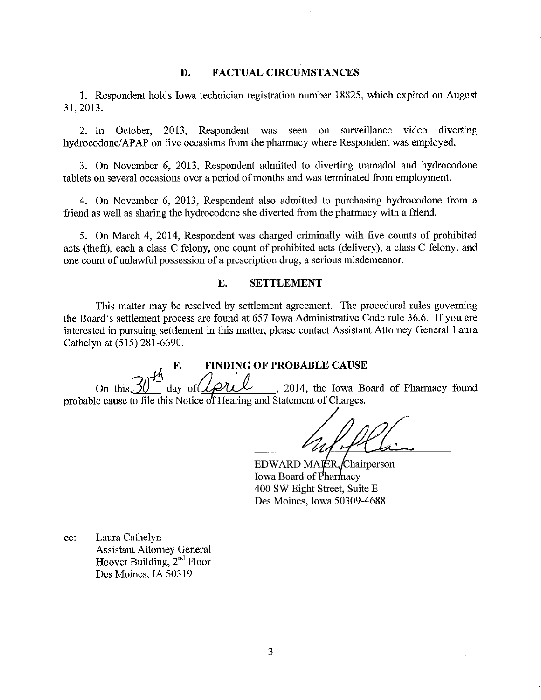### **D. FACTUAL CIRCUMSTANCES**

1. Respondent holds Iowa technician registration number 18825, which expired on August 31, 2013.

2. In October, 2013, Respondent was seen on surveillance video diverting hydrocodone/APAP on five occasions from the pharmacy where Respondent was employed.

3. On November 6, 2013, Respondent admitted to diverting tramadol and hydrocodone tablets on several occasions over a period of months and was terminated from employment.

4. On November 6, 2013, Respondent also admitted to purchasing hydrocodone from a friend as well as sharing the hydrocodone she diverted from the pharmacy with a friend.

5. On March 4, 2014, Respondent was charged criminally with five counts of prohibited acts (theft), each a class C felony, one count of prohibited acts ( delivery), a class C felony, and one count of unlawful possession of a prescription drug, a serious misdemeanor.

# **E. SETTLEMENT**

This matter may be resolved by settlement agreement. The procedural rules governing the Board's settlement process are found at 657 Iowa Administrative Code rule 36.6. If you are interested in pursuing settlement in this matter, please contact Assistant Attorney General Laura Cathelyn at (515) 281-6690.

**F.** FINDING OF PROBABLE CAUSE<br>day of *April*, 2014, the Iowa Bo On this  $30^{-1}$  day of  $42$  , 2014, the Iowa Board of Pharmacy found probable cause to file this Notice of Hearing and Statement of Charges.

 $\overbrace{\cdot}$ 

 $EDWARD MAIER$ , Chairperson Iowa Board of Pharmacy 400 SW Eight Street, Suite E Des Moines, Iowa 50309-4688

cc: Laura Cathelyn Assistant Attorney General Hoover Building, 2"d Floor Des Moines, IA 50319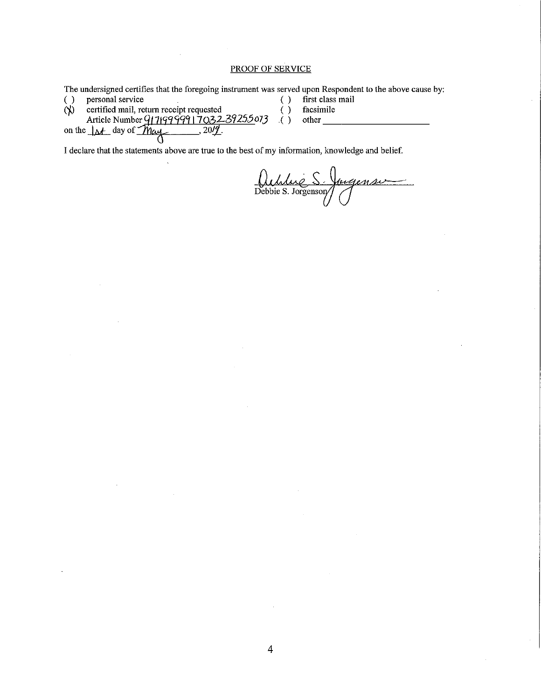### PROOF OF SERVICE

|          | The undersigned certifies that the foregoing instrument was served upon Respondent to the above cause by: |                  |
|----------|-----------------------------------------------------------------------------------------------------------|------------------|
|          | personal service                                                                                          | first class mail |
| $\infty$ | certified mail, return receipt requested                                                                  | facsimile        |
|          | Article Number 9171999991703239255073                                                                     | other            |
|          | on the $\Delta t$ day of May<br>20/1                                                                      |                  |
|          |                                                                                                           |                  |

I declare that the statements above are true to the best of my information, knowledge and belief.

Debbie *0,l~S-* S. Jorgensor} *Q,04«=*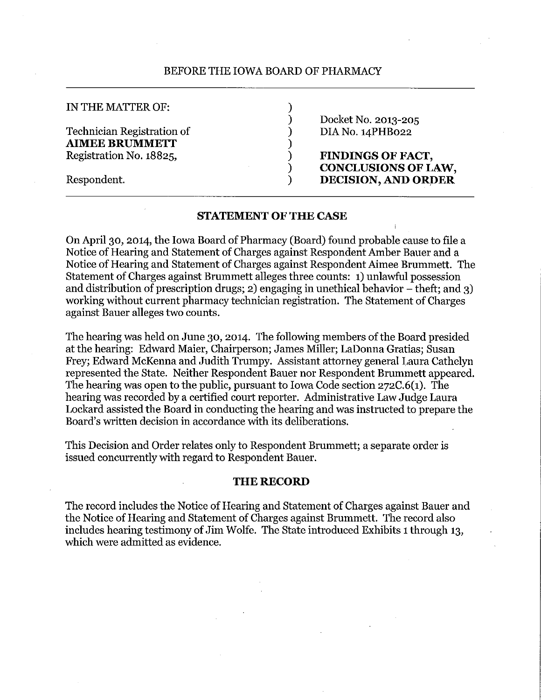### BEFORE THE IOWA BOARD OF PHARMACY

)

)

#### IN THE MATTER OF:

Respondent.

Technician Registration of **AIMEE BRUMMETT**  Registration No. 18825,

) Docket No. 2013-205 ) DIA No. 14PHB022

) **FINDINGS OF FACT,**  ) **CONCLUSIONS OF LAW,**  ) **DECISION, AND ORDER** 

## **STATEMENT OF THE CASE**

On April 30, 2014, the Iowa Board of Pharmacy (Board) found probable cause to file a Notice of Hearing and Statement of Charges against Respondent Amber Bauer and a Notice of Hearing and Statement of Charges against Respondent Aimee Brummett. The Statement of Charges against Brummett alleges three counts: 1) unlawful possession and distribution of prescription drugs; 2) engaging in unethical behavior  $-$  theft; and 3) working without current pharmacy technician registration. The Statement of Charges against Bauer alleges two counts.

The hearing was held on June 30, 2014. The following members of the Board presided at the hearing: Edward Maier, Chairperson; James Miller; LaDonna Gratias; Susan Frey; Edward McKenna and Judith Trumpy. Assistant attorney general Laura Cathelyn represented the State. Neither Respondent Bauer nor Respondent Brummett appeared. The hearing was open to the public, pursuant to Iowa Code section 272C.6(1). The hearing was recorded by a certified court reporter. Administrative Law Judge Laura Lockard assisted the Board in conducting the hearing and was instructed to prepare the Board's written decision in accordance with its deliberations.

This Decision and Order relates only to Respondent Brummett; a separate order is issued concurrently with regard to Respondent Bauer.

# **THE RECORD**

The record includes the Notice of Hearing and Statement of Charges against Bauer and the Notice of Hearing and Statement of Charges against Brummett. The record also includes hearing testimony of Jim Wolfe. The State introduced Exhibits 1 through 13, which were admitted as evidence.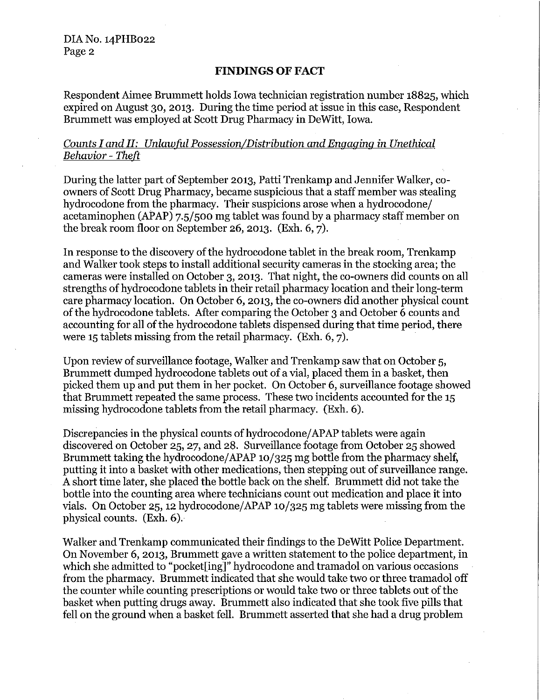DIA No. 14PHB022 Page 2

# **FINDINGS OF FACT**

Respondent Aimee Brummett holds Iowa technician registration number 18825, which expired on August 30, 2013. During the time period at issue in this case, Respondent Brummett was employed at Scott Drug Pharmacy in DeWitt, Iowa.

# *Counts I and II: Unlawful Possession/Distribution and Engaging in Unethical Behavior* - *Theft*

During the latter part of September 2013, Patti Trenkamp and Jennifer Walker, coowners of Scott Drug Pharmacy, became suspicious that a staff member was stealing hydrocodone from the pharmacy. Their suspicions arose when a hydrocodone/ acetaminophen (APAP) 7.5/500 mg tablet was found by a pharmacy staff member on the break room floor on September 26, 2013. (Exh. 6, 7).

In response to the discovery of the hydrocodone tablet in the break room, Trenkamp and Walker took steps to install additional security cameras in the stocking area; the cameras were installed on October 3, 2013. That night, the co-owners did counts on all strengths of hydrocodone tablets in their retail pharmacy location and their long-term care pharmacy location. On October 6, 2013, the co-owners did another physical count ofthe hydrocodone tablets. After comparing the October 3 and October 6 counts and accounting for all of the hydrocodone tablets dispensed during that time period, there were 15 tablets missing from the retail pharmacy. (Exh. 6, 7).

Upon review of surveillance footage, Walker and Trenkamp saw that on October 5, Brummett dumped hydrocodone tablets out of a vial, placed them in a basket, then picked them up and put them in her pocket. On October 6, surveillance footage showed that Brummett repeated the same process. These two incidents accounted for the 15 missing hydrocodone tablets from the retail pharmacy. (Exh. 6).

Discrepancies in the physical counts of hydrocodone/APAP tablets were again discovered on October 25, 27, and 28. Surveillance footage from October 25 showed Brummett taking the hydrocodone/APAP  $10/325$  mg bottle from the pharmacy shelf, putting it into a basket with other medications, then stepping out of surveillance range. A short time later, she placed the bottle back on the shelf. Brummett did not take the bottle into the counting area where technicians count out medication and place it into vials. On October 25, 12 hydrocodone/APAP 10/325 mg tablets were missing from the physical counts. (Exh. 6).

Walker and Trenkamp communicated their findings to the DeWitt Police Department. On November 6, 2013, Brummett gave a written statement to the police department, in which she admitted to "pocket[ing]" hydrocodone and tramadol on various occasions from the pharmacy. Brummett indicated that she would take two or three tramadol off the counter while counting prescriptions or would take two or three tablets out of the basket when putting drugs away. Brummett also indicated that she took five pills that fell on the ground when a basket fell. Brummett asserted that she had a drug problem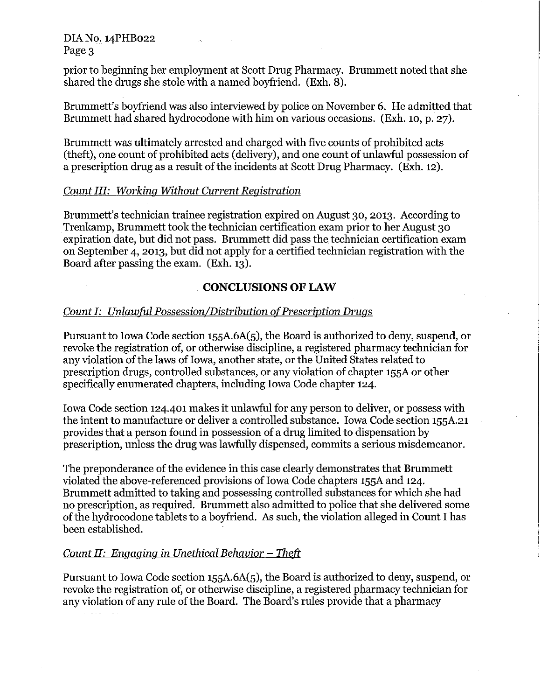DIAN0.14PHB022 Page 3

prior to beginning her employment at Scott Drug Pharmacy. Brummett noted that she shared the drugs she stole with a named boyfriend. (Exh. 8).

Brummett's boyfriend was also interviewed by police on November 6. He admitted that Brummett had shared hydrocodone with him on various occasions. (Exh. 10, p. 27).

Brummett was ultimately arrested and charged with five counts of prohibited acts (theft), one count of prohibited acts (delivery), and one count of unlawful possession of a prescription drug as a result of the incidents at Scott Drug Pharmacy. (Exh. 12).

# *Count III: Working Without Current Registration*

Brummett's technician trainee registration expired on August 30, 2013. According to Trenkamp, Brummett took the technician certification exam prior to her August 30 expiration date, but did not pass. Brummett did pass the technician certification exam on September 4, 2013, but did not apply for a certified technician registration with the Board after passing the exam. (Exh. 13).

# **CONCLUSIONS OF LAW**

# *Count I: Unlawful Possession/Distribution of Prescription Drugs*

Pursuant to Iowa Code section 155A.6A(5), the Board is authorized to deny, suspend, or revoke the registration of, or otherwise discipline, a registered pharmacy technician for any violation of the laws of Iowa, another state, or the United States related to prescription drugs, controlled substances, or any violation of chapter 155A or other specifically enumerated chapters, including Iowa Code chapter 124.

Iowa Code section 124.401 makes it unlawful for any person to deliver, or possess with the intent to manufacture or deliver a controlled substance. Iowa Code section 155A.21 provides that a person found in possession of a drug limited to dispensation by prescription, unless the drug was lawfully dispensed, commits a serious misdemeanor.

The preponderance of the evidence in this case clearly demonstrates that Brummett violated the above-referenced provisions of Iowa Code chapters 155A and 124. Brummett admitted to taking and possessing controlled substances for which she had no prescription, as required. Brummett also admitted to police that she delivered some of the hydrocodone tablets to a boyfriend. *AB* such, the violation alleged in Count I has been established.

# *Count II: Engaging in Unethical Behavior – Theft*

Pursuant to Iowa Code section 155A.6A(5), the Board is authorized to deny, suspend, or revoke the registration of, or otherwise discipline, a registered pharmacy technician for any violation of any rule of the Board. The Board's rules provide that a pharmacy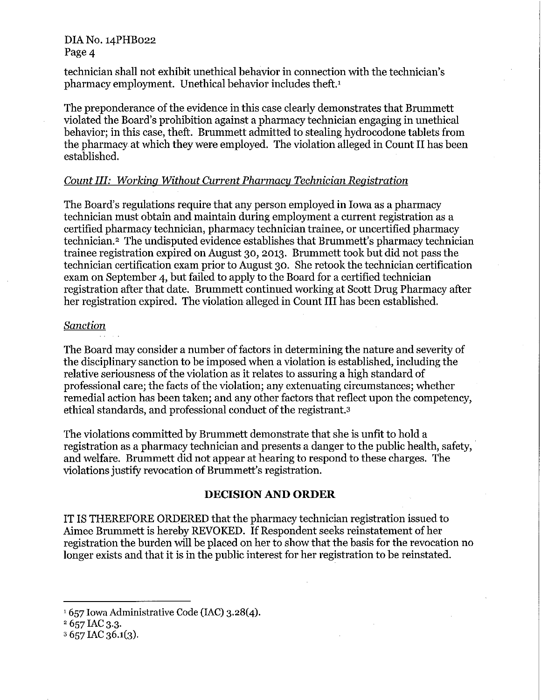# DIA No. 14PHB022 Page 4

technician shall not exhibit unethical behavior in connection with the technician's pharmacy employment. Unethical behavior includes theft.1

The preponderance of the evidence in this case clearly demonstrates that Brummett violated the Board's prohibition against a pharmacy technician engaging in unethical behavior; in this case, theft. Brummett admitted to stealing hydrocodone tablets from the pharmacy at which they were employed. The violation alleged in Count II has been established.

# *Count III: Working Without Current Pharmacy Technician Registration*

The Board's regulations require that any person employed in Iowa as a pharmacy technician must obtain and maintain during employment a current registration as a certified pharmacy technician, pharmacy technician trainee, or uncertified pharmacy technician.<sup>2</sup> The undisputed evidence establishes that Brummett's pharmacy technician trainee registration expired on August 30, 2013. Brummett took but did not pass the technician certification exam prior to August 30. She retook the technician certification exam on September 4, but failed to apply to the Board for a certified technician registration after that date. Brummett continued working at Scott Drug Pharmacy after her registration expired. The violation alleged in Count III has been established.

# *Sanction*

The Board may consider a number of factors in determining the nature and severity of the disciplinary sanction to be imposed when a violation is established, including the relative seriousness of the violation as it relates to assuring a high standard of professional care; the facts of the violation; any extenuating circumstances; whether remedial action has been taken; and any other factors that reflect upon the competency, ethical standards, and professional conduct of the registrant.3

The violations committed by Brummett demonstrate that she is unfit to hold a registration as a pharmacy technician and presents a danger to the public health, safety, and welfare. Brummett did not appear at hearing to respond to these charges. The violations justify revocation of Brummett's registration.

## **DECISION AND ORDER**

IT IS THEREFORE ORDERED that the pharmacy technician registration issued to Aimee Brummett is hereby REVOKED. If Respondent seeks reinstatement of her registration the burden will be placed on her to show that the basis for the revocation no longer exists and that it is in the public interest for her registration to be reinstated.

<sup>1 657</sup> Iowa Administrative Code (IAC) 3.28(4).

<sup>657</sup> IAC 3.3. 2

 $3657$  IAC  $36.1(3)$ .